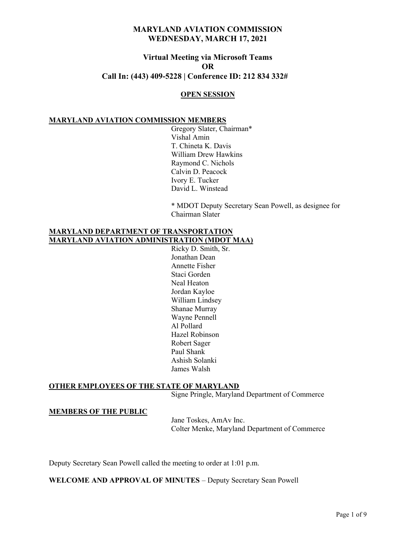# Virtual Meeting via Microsoft Teams OR Call In: (443) 409-5228 | Conference ID: 212 834 332#

### OPEN SESSION

#### MARYLAND AVIATION COMMISSION MEMBERS

 Gregory Slater, Chairman\* Vishal Amin T. Chineta K. Davis William Drew Hawkins Raymond C. Nichols Calvin D. Peacock Ivory E. Tucker David L. Winstead

\* MDOT Deputy Secretary Sean Powell, as designee for Chairman Slater

### MARYLAND DEPARTMENT OF TRANSPORTATION MARYLAND AVIATION ADMINISTRATION (MDOT MAA)

 Ricky D. Smith, Sr. Jonathan Dean Annette Fisher Staci Gorden Neal Heaton Jordan Kayloe William Lindsey Shanae Murray Wayne Pennell Al Pollard Hazel Robinson Robert Sager Paul Shank Ashish Solanki James Walsh

## OTHER EMPLOYEES OF THE STATE OF MARYLAND

Signe Pringle, Maryland Department of Commerce

#### MEMBERS OF THE PUBLIC

 Jane Toskes, AmAv Inc. Colter Menke, Maryland Department of Commerce

Deputy Secretary Sean Powell called the meeting to order at 1:01 p.m.

WELCOME AND APPROVAL OF MINUTES – Deputy Secretary Sean Powell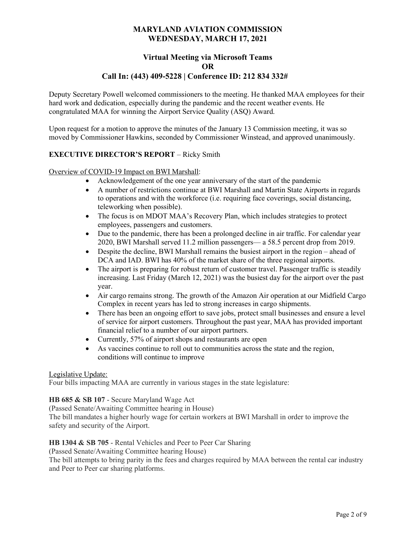## Virtual Meeting via Microsoft Teams OR Call In: (443) 409-5228 | Conference ID: 212 834 332#

Deputy Secretary Powell welcomed commissioners to the meeting. He thanked MAA employees for their hard work and dedication, especially during the pandemic and the recent weather events. He congratulated MAA for winning the Airport Service Quality (ASQ) Award.

Upon request for a motion to approve the minutes of the January 13 Commission meeting, it was so moved by Commissioner Hawkins, seconded by Commissioner Winstead, and approved unanimously.

## EXECUTIVE DIRECTOR'S REPORT – Ricky Smith

### Overview of COVID-19 Impact on BWI Marshall:

- Acknowledgement of the one year anniversary of the start of the pandemic
- A number of restrictions continue at BWI Marshall and Martin State Airports in regards to operations and with the workforce (i.e. requiring face coverings, social distancing, teleworking when possible).
- The focus is on MDOT MAA's Recovery Plan, which includes strategies to protect employees, passengers and customers.
- Due to the pandemic, there has been a prolonged decline in air traffic. For calendar year 2020, BWI Marshall served 11.2 million passengers— a 58.5 percent drop from 2019.
- Despite the decline, BWI Marshall remains the busiest airport in the region ahead of DCA and IAD. BWI has 40% of the market share of the three regional airports.
- The airport is preparing for robust return of customer travel. Passenger traffic is steadily increasing. Last Friday (March 12, 2021) was the busiest day for the airport over the past year.
- Air cargo remains strong. The growth of the Amazon Air operation at our Midfield Cargo Complex in recent years has led to strong increases in cargo shipments.
- There has been an ongoing effort to save jobs, protect small businesses and ensure a level of service for airport customers. Throughout the past year, MAA has provided important financial relief to a number of our airport partners.
- Currently, 57% of airport shops and restaurants are open
- As vaccines continue to roll out to communities across the state and the region, conditions will continue to improve

### Legislative Update:

Four bills impacting MAA are currently in various stages in the state legislature:

### HB 685 & SB 107 - Secure Maryland Wage Act

(Passed Senate/Awaiting Committee hearing in House)

The bill mandates a higher hourly wage for certain workers at BWI Marshall in order to improve the safety and security of the Airport.

### HB 1304 & SB 705 - Rental Vehicles and Peer to Peer Car Sharing

(Passed Senate/Awaiting Committee hearing House)

The bill attempts to bring parity in the fees and charges required by MAA between the rental car industry and Peer to Peer car sharing platforms.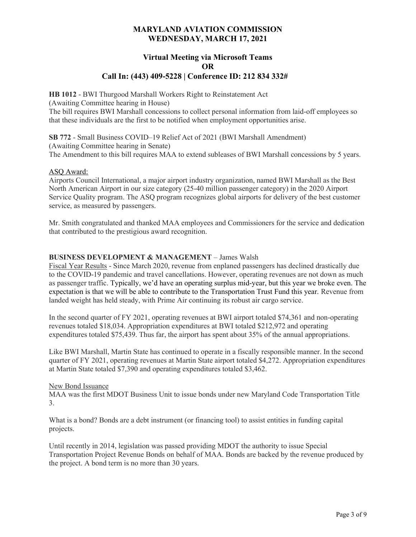## Virtual Meeting via Microsoft Teams OR Call In: (443) 409-5228 | Conference ID: 212 834 332#

HB 1012 - BWI Thurgood Marshall Workers Right to Reinstatement Act

(Awaiting Committee hearing in House)

The bill requires BWI Marshall concessions to collect personal information from laid-off employees so that these individuals are the first to be notified when employment opportunities arise.

SB 772 - Small Business COVID–19 Relief Act of 2021 (BWI Marshall Amendment) (Awaiting Committee hearing in Senate) The Amendment to this bill requires MAA to extend subleases of BWI Marshall concessions by 5 years.

### ASQ Award:

Airports Council International, a major airport industry organization, named BWI Marshall as the Best North American Airport in our size category (25-40 million passenger category) in the 2020 Airport Service Quality program. The ASQ program recognizes global airports for delivery of the best customer service, as measured by passengers.

Mr. Smith congratulated and thanked MAA employees and Commissioners for the service and dedication that contributed to the prestigious award recognition.

### BUSINESS DEVELOPMENT & MANAGEMENT – James Walsh

Fiscal Year Results - Since March 2020, revenue from enplaned passengers has declined drastically due to the COVID-19 pandemic and travel cancellations. However, operating revenues are not down as much as passenger traffic. Typically, we'd have an operating surplus mid-year, but this year we broke even. The expectation is that we will be able to contribute to the Transportation Trust Fund this year. Revenue from landed weight has held steady, with Prime Air continuing its robust air cargo service.

In the second quarter of FY 2021, operating revenues at BWI airport totaled \$74,361 and non-operating revenues totaled \$18,034. Appropriation expenditures at BWI totaled \$212,972 and operating expenditures totaled \$75,439. Thus far, the airport has spent about 35% of the annual appropriations.

Like BWI Marshall, Martin State has continued to operate in a fiscally responsible manner. In the second quarter of FY 2021, operating revenues at Martin State airport totaled \$4,272. Appropriation expenditures at Martin State totaled \$7,390 and operating expenditures totaled \$3,462.

### New Bond Issuance

MAA was the first MDOT Business Unit to issue bonds under new Maryland Code Transportation Title 3.

What is a bond? Bonds are a debt instrument (or financing tool) to assist entities in funding capital projects.

Until recently in 2014, legislation was passed providing MDOT the authority to issue Special Transportation Project Revenue Bonds on behalf of MAA. Bonds are backed by the revenue produced by the project. A bond term is no more than 30 years.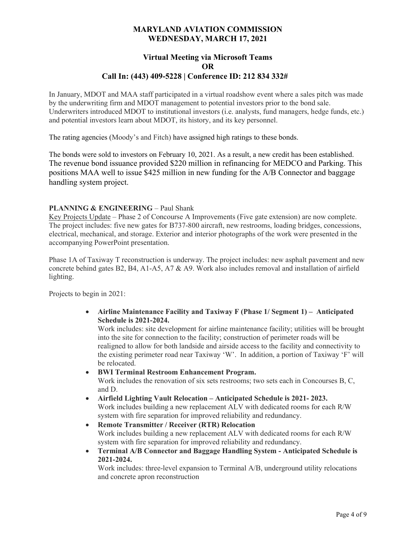## Virtual Meeting via Microsoft Teams OR Call In: (443) 409-5228 | Conference ID: 212 834 332#

In January, MDOT and MAA staff participated in a virtual roadshow event where a sales pitch was made by the underwriting firm and MDOT management to potential investors prior to the bond sale. Underwriters introduced MDOT to institutional investors (i.e. analysts, fund managers, hedge funds, etc.) and potential investors learn about MDOT, its history, and its key personnel.

The rating agencies (Moody's and Fitch) have assigned high ratings to these bonds.

The bonds were sold to investors on February 10, 2021. As a result, a new credit has been established. The revenue bond issuance provided \$220 million in refinancing for MEDCO and Parking. This positions MAA well to issue \$425 million in new funding for the A/B Connector and baggage handling system project.

### PLANNING & ENGINEERING – Paul Shank

Key Projects Update – Phase 2 of Concourse A Improvements (Five gate extension) are now complete. The project includes: five new gates for B737-800 aircraft, new restrooms, loading bridges, concessions, electrical, mechanical, and storage. Exterior and interior photographs of the work were presented in the accompanying PowerPoint presentation.

Phase 1A of Taxiway T reconstruction is underway. The project includes: new asphalt pavement and new concrete behind gates B2, B4, A1-A5, A7 & A9. Work also includes removal and installation of airfield lighting.

Projects to begin in 2021:

 Airline Maintenance Facility and Taxiway F (Phase 1/ Segment 1) – Anticipated Schedule is 2021-2024.

Work includes: site development for airline maintenance facility; utilities will be brought into the site for connection to the facility; construction of perimeter roads will be realigned to allow for both landside and airside access to the facility and connectivity to the existing perimeter road near Taxiway 'W'. In addition, a portion of Taxiway 'F' will be relocated.

BWI Terminal Restroom Enhancement Program.

Work includes the renovation of six sets restrooms; two sets each in Concourses B, C, and D.

- Airfield Lighting Vault Relocation Anticipated Schedule is 2021- 2023. Work includes building a new replacement ALV with dedicated rooms for each R/W system with fire separation for improved reliability and redundancy.
- Remote Transmitter / Receiver (RTR) Relocation Work includes building a new replacement ALV with dedicated rooms for each R/W system with fire separation for improved reliability and redundancy.
- Terminal A/B Connector and Baggage Handling System Anticipated Schedule is 2021-2024.

Work includes: three-level expansion to Terminal A/B, underground utility relocations and concrete apron reconstruction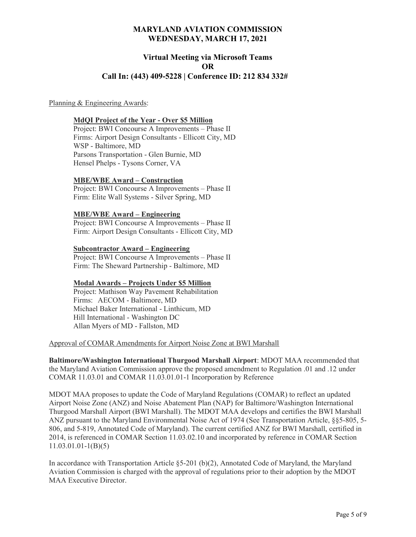## Virtual Meeting via Microsoft Teams OR Call In: (443) 409-5228 | Conference ID: 212 834 332#

#### Planning & Engineering Awards:

#### MdQI Project of the Year - Over \$5 Million

Project: BWI Concourse A Improvements – Phase II Firms: Airport Design Consultants - Ellicott City, MD WSP - Baltimore, MD Parsons Transportation - Glen Burnie, MD Hensel Phelps - Tysons Corner, VA

### MBE/WBE Award – Construction

Project: BWI Concourse A Improvements – Phase II Firm: Elite Wall Systems - Silver Spring, MD

#### MBE/WBE Award – Engineering

Project: BWI Concourse A Improvements – Phase II Firm: Airport Design Consultants - Ellicott City, MD

#### Subcontractor Award – Engineering

Project: BWI Concourse A Improvements – Phase II Firm: The Sheward Partnership - Baltimore, MD

### Modal Awards – Projects Under \$5 Million

Project: Mathison Way Pavement Rehabilitation Firms: AECOM - Baltimore, MD Michael Baker International - Linthicum, MD Hill International - Washington DC Allan Myers of MD - Fallston, MD

#### Approval of COMAR Amendments for Airport Noise Zone at BWI Marshall

Baltimore/Washington International Thurgood Marshall Airport: MDOT MAA recommended that the Maryland Aviation Commission approve the proposed amendment to Regulation .01 and .12 under COMAR 11.03.01 and COMAR 11.03.01.01-1 Incorporation by Reference

MDOT MAA proposes to update the Code of Maryland Regulations (COMAR) to reflect an updated Airport Noise Zone (ANZ) and Noise Abatement Plan (NAP) for Baltimore/Washington International Thurgood Marshall Airport (BWI Marshall). The MDOT MAA develops and certifies the BWI Marshall ANZ pursuant to the Maryland Environmental Noise Act of 1974 (See Transportation Article, §§5-805, 5- 806, and 5-819, Annotated Code of Maryland). The current certified ANZ for BWI Marshall, certified in 2014, is referenced in COMAR Section 11.03.02.10 and incorporated by reference in COMAR Section 11.03.01.01-1(B)(5)

In accordance with Transportation Article §5-201 (b)(2), Annotated Code of Maryland, the Maryland Aviation Commission is charged with the approval of regulations prior to their adoption by the MDOT MAA Executive Director.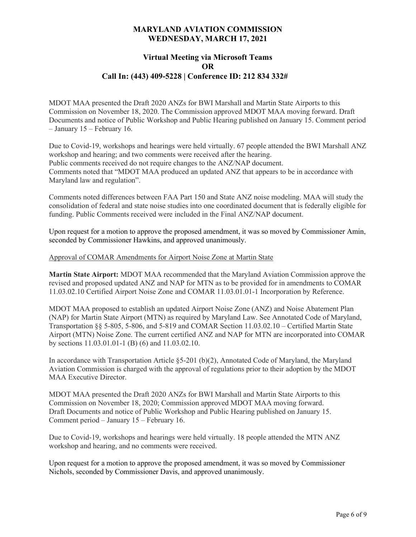## Virtual Meeting via Microsoft Teams OR Call In: (443) 409-5228 | Conference ID: 212 834 332#

MDOT MAA presented the Draft 2020 ANZs for BWI Marshall and Martin State Airports to this Commission on November 18, 2020. The Commission approved MDOT MAA moving forward. Draft Documents and notice of Public Workshop and Public Hearing published on January 15. Comment period – January 15 – February 16.

Due to Covid-19, workshops and hearings were held virtually. 67 people attended the BWI Marshall ANZ workshop and hearing; and two comments were received after the hearing. Public comments received do not require changes to the ANZ/NAP document. Comments noted that "MDOT MAA produced an updated ANZ that appears to be in accordance with Maryland law and regulation".

Comments noted differences between FAA Part 150 and State ANZ noise modeling. MAA will study the consolidation of federal and state noise studies into one coordinated document that is federally eligible for funding. Public Comments received were included in the Final ANZ/NAP document.

Upon request for a motion to approve the proposed amendment, it was so moved by Commissioner Amin, seconded by Commissioner Hawkins, and approved unanimously.

## Approval of COMAR Amendments for Airport Noise Zone at Martin State

Martin State Airport: MDOT MAA recommended that the Maryland Aviation Commission approve the revised and proposed updated ANZ and NAP for MTN as to be provided for in amendments to COMAR 11.03.02.10 Certified Airport Noise Zone and COMAR 11.03.01.01-1 Incorporation by Reference.

MDOT MAA proposed to establish an updated Airport Noise Zone (ANZ) and Noise Abatement Plan (NAP) for Martin State Airport (MTN) as required by Maryland Law. See Annotated Code of Maryland, Transportation §§ 5-805, 5-806, and 5-819 and COMAR Section 11.03.02.10 – Certified Martin State Airport (MTN) Noise Zone. The current certified ANZ and NAP for MTN are incorporated into COMAR by sections 11.03.01.01-1 (B) (6) and 11.03.02.10.

In accordance with Transportation Article §5-201 (b)(2), Annotated Code of Maryland, the Maryland Aviation Commission is charged with the approval of regulations prior to their adoption by the MDOT MAA Executive Director.

MDOT MAA presented the Draft 2020 ANZs for BWI Marshall and Martin State Airports to this Commission on November 18, 2020; Commission approved MDOT MAA moving forward. Draft Documents and notice of Public Workshop and Public Hearing published on January 15. Comment period – January 15 – February 16.

Due to Covid-19, workshops and hearings were held virtually. 18 people attended the MTN ANZ workshop and hearing, and no comments were received.

Upon request for a motion to approve the proposed amendment, it was so moved by Commissioner Nichols, seconded by Commissioner Davis, and approved unanimously.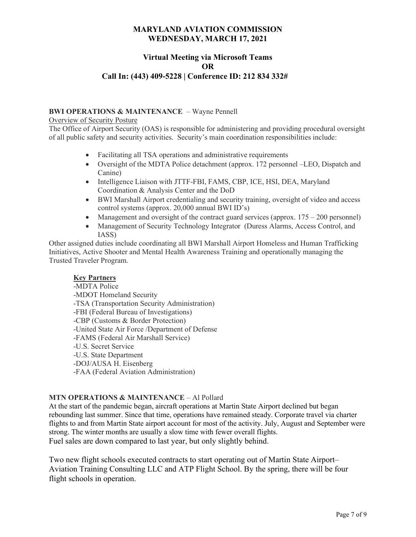# Virtual Meeting via Microsoft Teams OR Call In: (443) 409-5228 | Conference ID: 212 834 332#

## BWI OPERATIONS & MAINTENANCE – Wayne Pennell

Overview of Security Posture

The Office of Airport Security (OAS) is responsible for administering and providing procedural oversight of all public safety and security activities. Security's main coordination responsibilities include:

- Facilitating all TSA operations and administrative requirements
- Oversight of the MDTA Police detachment (approx. 172 personnel –LEO, Dispatch and Canine)
- Intelligence Liaison with JTTF-FBI, FAMS, CBP, ICE, HSI, DEA, Maryland Coordination & Analysis Center and the DoD
- BWI Marshall Airport credentialing and security training, oversight of video and access control systems (approx. 20,000 annual BWI ID's)
- Management and oversight of the contract guard services (approx.  $175 200$  personnel)
- Management of Security Technology Integrator (Duress Alarms, Access Control, and IASS)

Other assigned duties include coordinating all BWI Marshall Airport Homeless and Human Trafficking Initiatives, Active Shooter and Mental Health Awareness Training and operationally managing the Trusted Traveler Program.

## Key Partners

-MDTA Police -MDOT Homeland Security -TSA (Transportation Security Administration) -FBI (Federal Bureau of Investigations) -CBP (Customs & Border Protection) -United State Air Force /Department of Defense -FAMS (Federal Air Marshall Service) -U.S. Secret Service -U.S. State Department -DOJ/AUSA H. Eisenberg -FAA (Federal Aviation Administration)

## MTN OPERATIONS & MAINTENANCE – Al Pollard

At the start of the pandemic began, aircraft operations at Martin State Airport declined but began rebounding last summer. Since that time, operations have remained steady. Corporate travel via charter flights to and from Martin State airport account for most of the activity. July, August and September were strong. The winter months are usually a slow time with fewer overall flights. Fuel sales are down compared to last year, but only slightly behind.

Two new flight schools executed contracts to start operating out of Martin State Airport– Aviation Training Consulting LLC and ATP Flight School. By the spring, there will be four flight schools in operation.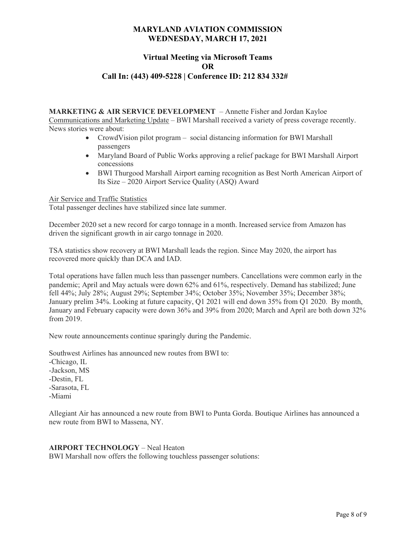# Virtual Meeting via Microsoft Teams OR Call In: (443) 409-5228 | Conference ID: 212 834 332#

MARKETING & AIR SERVICE DEVELOPMENT – Annette Fisher and Jordan Kayloe Communications and Marketing Update – BWI Marshall received a variety of press coverage recently. News stories were about:

- CrowdVision pilot program social distancing information for BWI Marshall passengers
- Maryland Board of Public Works approving a relief package for BWI Marshall Airport concessions
- BWI Thurgood Marshall Airport earning recognition as Best North American Airport of Its Size – 2020 Airport Service Quality (ASQ) Award

Air Service and Traffic Statistics

Total passenger declines have stabilized since late summer.

December 2020 set a new record for cargo tonnage in a month. Increased service from Amazon has driven the significant growth in air cargo tonnage in 2020.

TSA statistics show recovery at BWI Marshall leads the region. Since May 2020, the airport has recovered more quickly than DCA and IAD.

Total operations have fallen much less than passenger numbers. Cancellations were common early in the pandemic; April and May actuals were down 62% and 61%, respectively. Demand has stabilized; June fell 44%; July 28%; August 29%; September 34%; October 35%; November 35%; December 38%; January prelim 34%. Looking at future capacity, Q1 2021 will end down 35% from Q1 2020. By month, January and February capacity were down 36% and 39% from 2020; March and April are both down 32% from 2019.

New route announcements continue sparingly during the Pandemic.

Southwest Airlines has announced new routes from BWI to:

-Chicago, IL -Jackson, MS -Destin, FL -Sarasota, FL -Miami

Allegiant Air has announced a new route from BWI to Punta Gorda. Boutique Airlines has announced a new route from BWI to Massena, NY.

### AIRPORT TECHNOLOGY – Neal Heaton

BWI Marshall now offers the following touchless passenger solutions: